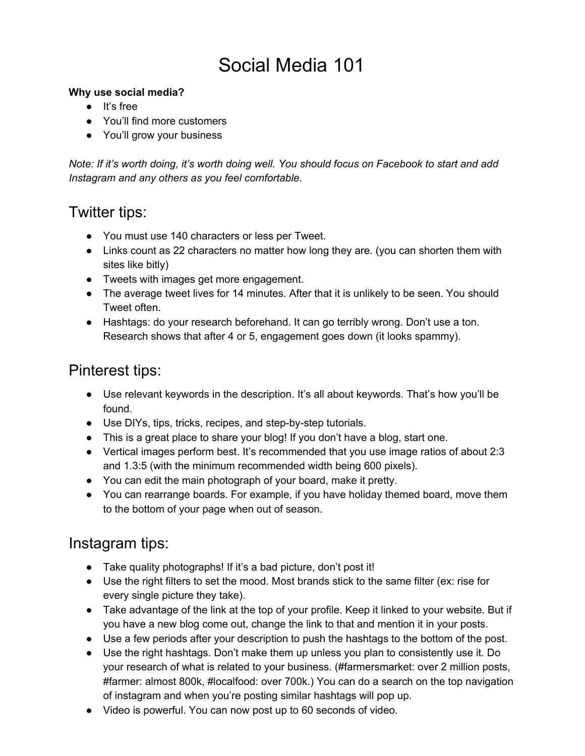# Social Media 101

#### **Why use social media?**

- It's free
- You'll find more customers
- You'll grow your business

*Note: If it's worth doing, it's worth doing well. You should focus on Facebook to start and add Instagram and any others as you feel comfortable*.

### Twitter tips:

- You must use 140 characters or less per Tweet.
- Links count as 22 characters no matter how long they are. (you can shorten them with sites like bitly)
- Tweets with images get more engagement.
- The average tweet lives for 14 minutes. After that it is unlikely to be seen. You should Tweet often.
- Hashtags: do your research beforehand. It can go terribly wrong. Don't use a ton. Research shows that after 4 or 5, engagement goes down (it looks spammy).

### Pinterest tips:

- Use relevant keywords in the description. It's all about keywords. That's how you'll be found.
- Use DIYs, tips, tricks, recipes, and step-by-step tutorials.
- This is a great place to share your blog! If you don't have a blog, start one.
- Vertical images perform best. It's recommended that you use image ratios of about 2:3 and 1.3:5 (with the minimum recommended width being 600 pixels).
- You can edit the main photograph of your board, make it pretty.
- You can rearrange boards. For example, if you have holiday themed board, move them to the bottom of your page when out of season.

### Instagram tips:

- Take quality photographs! If it's a bad picture, don't post it!
- Use the right filters to set the mood. Most brands stick to the same filter (ex: rise for every single picture they take).
- Take advantage of the link at the top of your profile. Keep it linked to your website. But if you have a new blog come out, change the link to that and mention it in your posts.
- Use a few periods after your description to push the hashtags to the bottom of the post.
- Use the right hashtags. Don't make them up unless you plan to consistently use it. Do your research of what is related to your business. (#farmersmarket: over 2 million posts, #farmer: almost 800k, #localfood: over 700k.) You can do a search on the top navigation of instagram and when you're posting similar hashtags will pop up.
- Video is powerful. You can now post up to 60 seconds of video.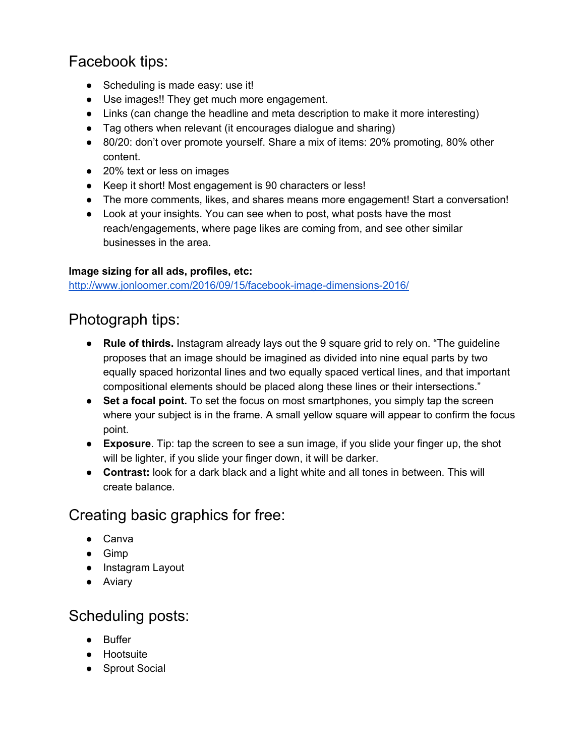# Facebook tips:

- Scheduling is made easy: use it!
- Use images!! They get much more engagement.
- Links (can change the headline and meta description to make it more interesting)
- Tag others when relevant (it encourages dialogue and sharing)
- 80/20: don't over promote yourself. Share a mix of items: 20% promoting, 80% other content.
- 20% text or less on images
- Keep it short! Most engagement is 90 characters or less!
- The more comments, likes, and shares means more engagement! Start a conversation!
- Look at your insights. You can see when to post, what posts have the most reach/engagements, where page likes are coming from, and see other similar businesses in the area.

#### **Image sizing for all ads, profiles, etc:**

<http://www.jonloomer.com/2016/09/15/facebook-image-dimensions-2016/>

## Photograph tips:

- **Rule of thirds.** Instagram already lays out the 9 square grid to rely on. "The guideline proposes that an image should be imagined as divided into nine equal parts by two equally spaced horizontal lines and two equally spaced vertical lines, and that important compositional elements should be placed along these lines or their intersections."
- Set a focal point. To set the focus on most smartphones, you simply tap the screen where your subject is in the frame. A small yellow square will appear to confirm the focus point.
- **Exposure**. Tip: tap the screen to see a sun image, if you slide your finger up, the shot will be lighter, if you slide your finger down, it will be darker.
- **Contrast:** look for a dark black and a light white and all tones in between. This will create balance.

## Creating basic graphics for free:

- Canva
- Gimp
- Instagram Layout
- Aviary

# Scheduling posts:

- Buffer
- Hootsuite
- Sprout Social